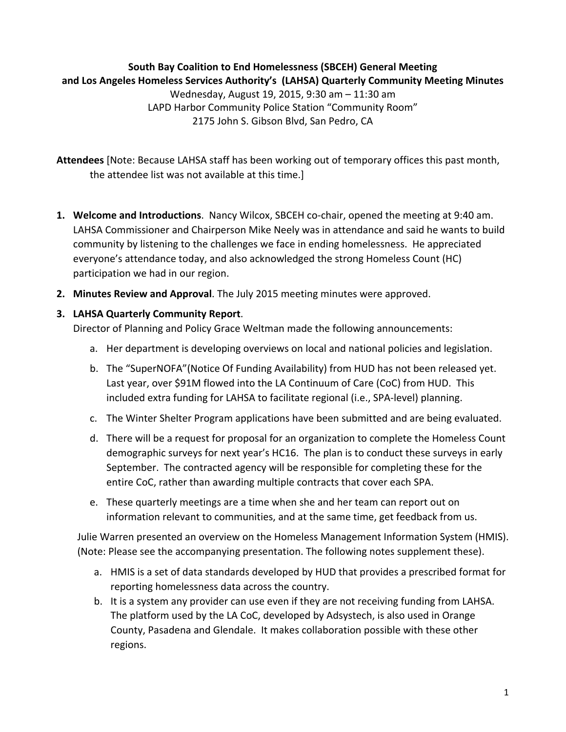## **South Bay Coalition to End Homelessness (SBCEH) General Meeting** and Los Angeles Homeless Services Authority's (LAHSA) Quarterly Community Meeting Minutes

Wednesday, August 19, 2015, 9:30 am - 11:30 am LAPD Harbor Community Police Station "Community Room" 2175 John S. Gibson Blvd, San Pedro, CA

Attendees [Note: Because LAHSA staff has been working out of temporary offices this past month, the attendee list was not available at this time.]

- **1.** Welcome and Introductions. Nancy Wilcox, SBCEH co-chair, opened the meeting at 9:40 am. LAHSA Commissioner and Chairperson Mike Neely was in attendance and said he wants to build community by listening to the challenges we face in ending homelessness. He appreciated everyone's attendance today, and also acknowledged the strong Homeless Count (HC) participation we had in our region.
- **2. Minutes Review and Approval**. The July 2015 meeting minutes were approved.

## **3. LAHSA Quarterly Community Report**.

Director of Planning and Policy Grace Weltman made the following announcements:

- a. Her department is developing overviews on local and national policies and legislation.
- b. The "SuperNOFA" (Notice Of Funding Availability) from HUD has not been released yet. Last year, over \$91M flowed into the LA Continuum of Care (CoC) from HUD. This included extra funding for LAHSA to facilitate regional (i.e., SPA-level) planning.
- c. The Winter Shelter Program applications have been submitted and are being evaluated.
- d. There will be a request for proposal for an organization to complete the Homeless Count demographic surveys for next year's HC16. The plan is to conduct these surveys in early September. The contracted agency will be responsible for completing these for the entire CoC, rather than awarding multiple contracts that cover each SPA.
- e. These quarterly meetings are a time when she and her team can report out on information relevant to communities, and at the same time, get feedback from us.

Julie Warren presented an overview on the Homeless Management Information System (HMIS). (Note: Please see the accompanying presentation. The following notes supplement these).

- a. HMIS is a set of data standards developed by HUD that provides a prescribed format for reporting homelessness data across the country.
- b. It is a system any provider can use even if they are not receiving funding from LAHSA. The platform used by the LA CoC, developed by Adsystech, is also used in Orange County, Pasadena and Glendale. It makes collaboration possible with these other regions.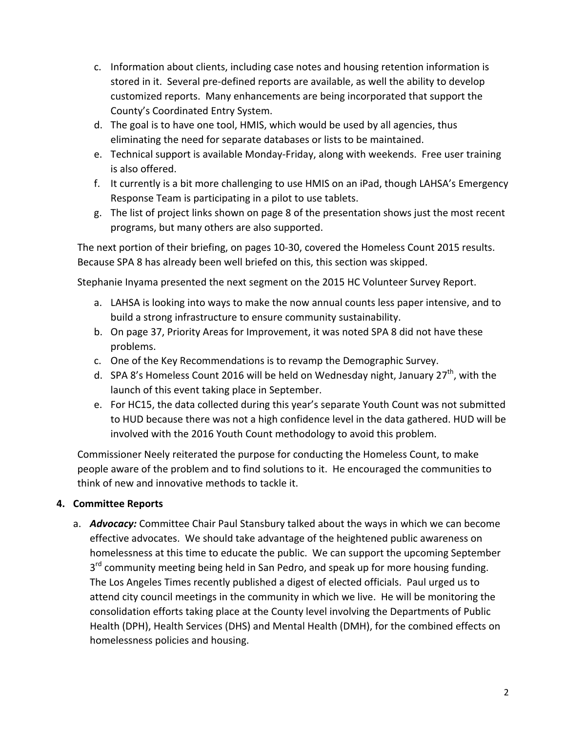- c. Information about clients, including case notes and housing retention information is stored in it. Several pre-defined reports are available, as well the ability to develop customized reports. Many enhancements are being incorporated that support the County's Coordinated Entry System.
- d. The goal is to have one tool, HMIS, which would be used by all agencies, thus eliminating the need for separate databases or lists to be maintained.
- e. Technical support is available Monday-Friday, along with weekends. Free user training is also offered.
- f. It currently is a bit more challenging to use HMIS on an iPad, though LAHSA's Emergency Response Team is participating in a pilot to use tablets.
- g. The list of project links shown on page 8 of the presentation shows just the most recent programs, but many others are also supported.

The next portion of their briefing, on pages 10-30, covered the Homeless Count 2015 results. Because SPA 8 has already been well briefed on this, this section was skipped.

Stephanie Inyama presented the next segment on the 2015 HC Volunteer Survey Report.

- a. LAHSA is looking into ways to make the now annual counts less paper intensive, and to build a strong infrastructure to ensure community sustainability.
- b. On page 37, Priority Areas for Improvement, it was noted SPA 8 did not have these problems.
- c. One of the Key Recommendations is to revamp the Demographic Survey.
- d. SPA 8's Homeless Count 2016 will be held on Wednesday night, January 27<sup>th</sup>, with the launch of this event taking place in September.
- e. For HC15, the data collected during this year's separate Youth Count was not submitted to HUD because there was not a high confidence level in the data gathered. HUD will be involved with the 2016 Youth Count methodology to avoid this problem.

Commissioner Neely reiterated the purpose for conducting the Homeless Count, to make people aware of the problem and to find solutions to it. He encouraged the communities to think of new and innovative methods to tackle it.

## **4. Committee Reports**

a. *Advocacy:* Committee Chair Paul Stansbury talked about the ways in which we can become effective advocates. We should take advantage of the heightened public awareness on homelessness at this time to educate the public. We can support the upcoming September  $3<sup>rd</sup>$  community meeting being held in San Pedro, and speak up for more housing funding. The Los Angeles Times recently published a digest of elected officials. Paul urged us to attend city council meetings in the community in which we live. He will be monitoring the consolidation efforts taking place at the County level involving the Departments of Public Health (DPH), Health Services (DHS) and Mental Health (DMH), for the combined effects on homelessness policies and housing.